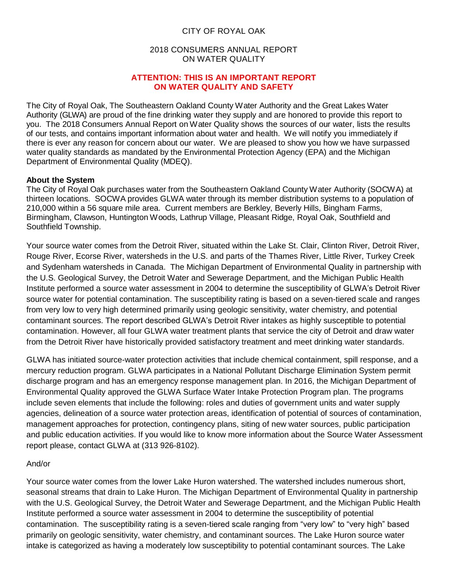## CITY OF ROYAL OAK

### 2018 CONSUMERS ANNUAL REPORT ON WATER QUALITY

#### **ATTENTION: THIS IS AN IMPORTANT REPORT ON WATER QUALITY AND SAFETY**

The City of Royal Oak, The Southeastern Oakland County Water Authority and the Great Lakes Water Authority (GLWA) are proud of the fine drinking water they supply and are honored to provide this report to you. The 2018 Consumers Annual Report on Water Quality shows the sources of our water, lists the results of our tests, and contains important information about water and health. We will notify you immediately if there is ever any reason for concern about our water. We are pleased to show you how we have surpassed water quality standards as mandated by the Environmental Protection Agency (EPA) and the Michigan Department of Environmental Quality (MDEQ).

## **About the System**

The City of Royal Oak purchases water from the Southeastern Oakland County Water Authority (SOCWA) at thirteen locations. SOCWA provides GLWA water through its member distribution systems to a population of 210,000 within a 56 square mile area. Current members are Berkley, Beverly Hills, Bingham Farms, Birmingham, Clawson, Huntington Woods, Lathrup Village, Pleasant Ridge, Royal Oak, Southfield and Southfield Township.

Your source water comes from the Detroit River, situated within the Lake St. Clair, Clinton River, Detroit River, Rouge River, Ecorse River, watersheds in the U.S. and parts of the Thames River, Little River, Turkey Creek and Sydenham watersheds in Canada. The Michigan Department of Environmental Quality in partnership with the U.S. Geological Survey, the Detroit Water and Sewerage Department, and the Michigan Public Health Institute performed a source water assessment in 2004 to determine the susceptibility of GLWA's Detroit River source water for potential contamination. The susceptibility rating is based on a seven-tiered scale and ranges from very low to very high determined primarily using geologic sensitivity, water chemistry, and potential contaminant sources. The report described GLWA's Detroit River intakes as highly susceptible to potential contamination. However, all four GLWA water treatment plants that service the city of Detroit and draw water from the Detroit River have historically provided satisfactory treatment and meet drinking water standards.

GLWA has initiated source-water protection activities that include chemical containment, spill response, and a mercury reduction program. GLWA participates in a National Pollutant Discharge Elimination System permit discharge program and has an emergency response management plan. In 2016, the Michigan Department of Environmental Quality approved the GLWA Surface Water Intake Protection Program plan. The programs include seven elements that include the following: roles and duties of government units and water supply agencies, delineation of a source water protection areas, identification of potential of sources of contamination, management approaches for protection, contingency plans, siting of new water sources, public participation and public education activities. If you would like to know more information about the Source Water Assessment report please, contact GLWA at (313 926-8102).

## And/or

Your source water comes from the lower Lake Huron watershed. The watershed includes numerous short, seasonal streams that drain to Lake Huron. The Michigan Department of Environmental Quality in partnership with the U.S. Geological Survey, the Detroit Water and Sewerage Department, and the Michigan Public Health Institute performed a source water assessment in 2004 to determine the susceptibility of potential contamination. The susceptibility rating is a seven-tiered scale ranging from "very low" to "very high" based primarily on geologic sensitivity, water chemistry, and contaminant sources. The Lake Huron source water intake is categorized as having a moderately low susceptibility to potential contaminant sources. The Lake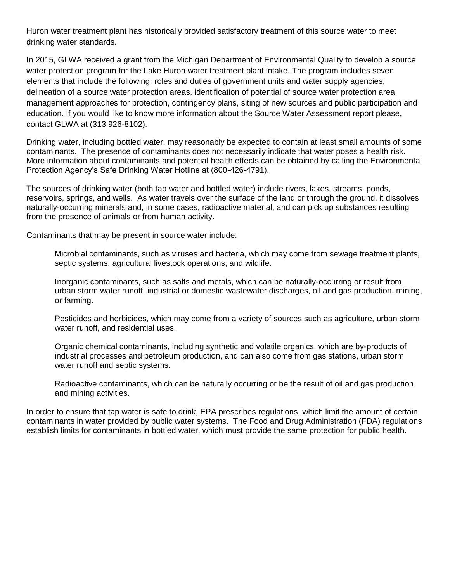Huron water treatment plant has historically provided satisfactory treatment of this source water to meet drinking water standards.

In 2015, GLWA received a grant from the Michigan Department of Environmental Quality to develop a source water protection program for the Lake Huron water treatment plant intake. The program includes seven elements that include the following: roles and duties of government units and water supply agencies, delineation of a source water protection areas, identification of potential of source water protection area, management approaches for protection, contingency plans, siting of new sources and public participation and education. If you would like to know more information about the Source Water Assessment report please, contact GLWA at (313 926-8102).

Drinking water, including bottled water, may reasonably be expected to contain at least small amounts of some contaminants. The presence of contaminants does not necessarily indicate that water poses a health risk. More information about contaminants and potential health effects can be obtained by calling the Environmental Protection Agency's Safe Drinking Water Hotline at (800-426-4791).

The sources of drinking water (both tap water and bottled water) include rivers, lakes, streams, ponds, reservoirs, springs, and wells. As water travels over the surface of the land or through the ground, it dissolves naturally-occurring minerals and, in some cases, radioactive material, and can pick up substances resulting from the presence of animals or from human activity.

Contaminants that may be present in source water include:

Microbial contaminants, such as viruses and bacteria, which may come from sewage treatment plants, septic systems, agricultural livestock operations, and wildlife.

Inorganic contaminants, such as salts and metals, which can be naturally-occurring or result from urban storm water runoff, industrial or domestic wastewater discharges, oil and gas production, mining, or farming.

Pesticides and herbicides, which may come from a variety of sources such as agriculture, urban storm water runoff, and residential uses.

Organic chemical contaminants, including synthetic and volatile organics, which are by-products of industrial processes and petroleum production, and can also come from gas stations, urban storm water runoff and septic systems.

Radioactive contaminants, which can be naturally occurring or be the result of oil and gas production and mining activities.

In order to ensure that tap water is safe to drink, EPA prescribes regulations, which limit the amount of certain contaminants in water provided by public water systems. The Food and Drug Administration (FDA) regulations establish limits for contaminants in bottled water, which must provide the same protection for public health.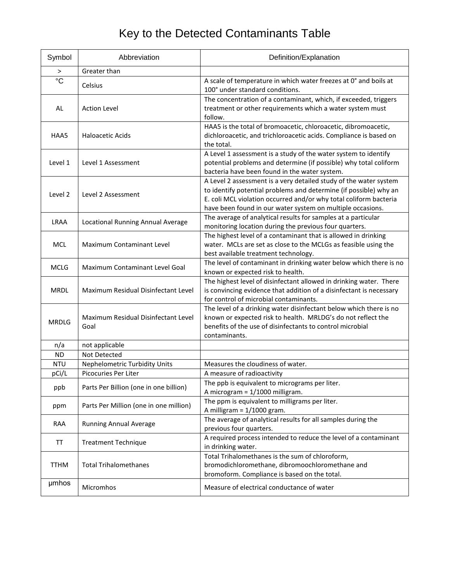# Key to the Detected Contaminants Table

| Symbol          | Abbreviation                                | Definition/Explanation                                                                                                                                                                                                                                                    |
|-----------------|---------------------------------------------|---------------------------------------------------------------------------------------------------------------------------------------------------------------------------------------------------------------------------------------------------------------------------|
| $\, > \,$       | Greater than                                |                                                                                                                                                                                                                                                                           |
| $\rm ^{\circ}C$ | Celsius                                     | A scale of temperature in which water freezes at 0° and boils at<br>100° under standard conditions.                                                                                                                                                                       |
| AL              | <b>Action Level</b>                         | The concentration of a contaminant, which, if exceeded, triggers<br>treatment or other requirements which a water system must<br>follow.                                                                                                                                  |
| HAA5            | <b>Haloacetic Acids</b>                     | HAA5 is the total of bromoacetic, chloroacetic, dibromoacetic,<br>dichloroacetic, and trichloroacetic acids. Compliance is based on<br>the total.                                                                                                                         |
| Level 1         | Level 1 Assessment                          | A Level 1 assessment is a study of the water system to identify<br>potential problems and determine (if possible) why total coliform<br>bacteria have been found in the water system.                                                                                     |
| Level 2         | Level 2 Assessment                          | A Level 2 assessment is a very detailed study of the water system<br>to identify potential problems and determine (if possible) why an<br>E. coli MCL violation occurred and/or why total coliform bacteria<br>have been found in our water system on multiple occasions. |
| <b>LRAA</b>     | Locational Running Annual Average           | The average of analytical results for samples at a particular<br>monitoring location during the previous four quarters.                                                                                                                                                   |
| <b>MCL</b>      | <b>Maximum Contaminant Level</b>            | The highest level of a contaminant that is allowed in drinking<br>water. MCLs are set as close to the MCLGs as feasible using the<br>best available treatment technology.                                                                                                 |
| <b>MCLG</b>     | Maximum Contaminant Level Goal              | The level of contaminant in drinking water below which there is no<br>known or expected risk to health.                                                                                                                                                                   |
| <b>MRDL</b>     | Maximum Residual Disinfectant Level         | The highest level of disinfectant allowed in drinking water. There<br>is convincing evidence that addition of a disinfectant is necessary<br>for control of microbial contaminants.                                                                                       |
| <b>MRDLG</b>    | Maximum Residual Disinfectant Level<br>Goal | The level of a drinking water disinfectant below which there is no<br>known or expected risk to health. MRLDG's do not reflect the<br>benefits of the use of disinfectants to control microbial<br>contaminants.                                                          |
| n/a             | not applicable                              |                                                                                                                                                                                                                                                                           |
| <b>ND</b>       | <b>Not Detected</b>                         |                                                                                                                                                                                                                                                                           |
| <b>NTU</b>      | <b>Nephelometric Turbidity Units</b>        | Measures the cloudiness of water.                                                                                                                                                                                                                                         |
| pCi/L           | Picocuries Per Liter                        | A measure of radioactivity                                                                                                                                                                                                                                                |
| ppb             | Parts Per Billion (one in one billion)      | The ppb is equivalent to micrograms per liter.<br>A microgram = 1/1000 milligram.                                                                                                                                                                                         |
| ppm             | Parts Per Million (one in one million)      | The ppm is equivalent to milligrams per liter.<br>A milligram = $1/1000$ gram.                                                                                                                                                                                            |
| <b>RAA</b>      | <b>Running Annual Average</b>               | The average of analytical results for all samples during the<br>previous four quarters.                                                                                                                                                                                   |
| TT              | <b>Treatment Technique</b>                  | A required process intended to reduce the level of a contaminant<br>in drinking water.                                                                                                                                                                                    |
| <b>TTHM</b>     | <b>Total Trihalomethanes</b>                | Total Trihalomethanes is the sum of chloroform,<br>bromodichloromethane, dibromoochloromethane and<br>bromoform. Compliance is based on the total.                                                                                                                        |
| umhos           | Micromhos                                   | Measure of electrical conductance of water                                                                                                                                                                                                                                |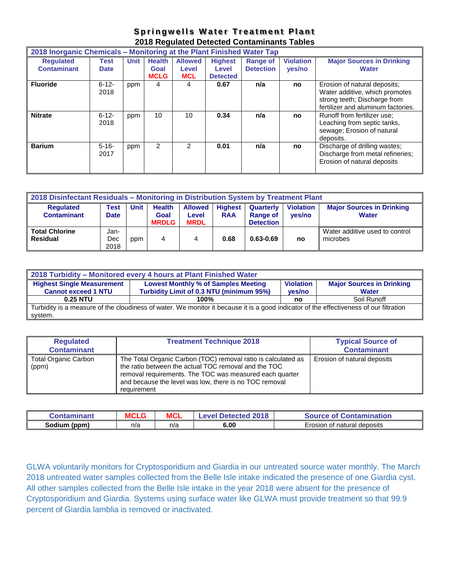# **Springwells Water Treatment Plant 2018 Regulated Detected Contaminants Tables**

| 2018 Inorganic Chemicals – Monitoring at the Plant Finished Water Tap |                            |             |                                      |                                       |                                            |                                     |                            |                                                                                                                                      |
|-----------------------------------------------------------------------|----------------------------|-------------|--------------------------------------|---------------------------------------|--------------------------------------------|-------------------------------------|----------------------------|--------------------------------------------------------------------------------------------------------------------------------------|
| <b>Requlated</b><br><b>Contaminant</b>                                | <b>Test</b><br><b>Date</b> | <b>Unit</b> | <b>Health</b><br>Goal<br><b>MCLG</b> | <b>Allowed</b><br>Level<br><b>MCL</b> | <b>Highest</b><br>Level<br><b>Detected</b> | <b>Range of</b><br><b>Detection</b> | <b>Violation</b><br>yes/no | <b>Major Sources in Drinking</b><br><b>Water</b>                                                                                     |
| <b>Fluoride</b>                                                       | $6 - 12 -$<br>2018         | ppm         | 4                                    | 4                                     | 0.67                                       | n/a                                 | no                         | Erosion of natural deposits;<br>Water additive, which promotes<br>strong teeth; Discharge from<br>fertilizer and aluminum factories. |
| <b>Nitrate</b>                                                        | $6 - 12 -$<br>2018         | ppm         | 10                                   | 10                                    | 0.34                                       | n/a                                 | no                         | Runoff from fertilizer use:<br>Leaching from septic tanks,<br>sewage; Erosion of natural<br>deposits.                                |
| <b>Barium</b>                                                         | $5 - 16 -$<br>2017         | ppm         | 2                                    | 2                                     | 0.01                                       | n/a                                 | no                         | Discharge of drilling wastes;<br>Discharge from metal refineries;<br>Erosion of natural deposits                                     |

| 2018 Disinfectant Residuals - Monitoring in Distribution System by Treatment Plant                                            |             |     |              |             |            |                  |        |                                  |
|-------------------------------------------------------------------------------------------------------------------------------|-------------|-----|--------------|-------------|------------|------------------|--------|----------------------------------|
| <b>Unit</b><br><b>Health</b><br><b>Highest</b><br><b>Violation</b><br><b>Requlated</b><br><b>Allowed</b><br>Test<br>Quarterly |             |     |              |             |            |                  |        | <b>Major Sources in Drinking</b> |
| <b>Contaminant</b>                                                                                                            | <b>Date</b> |     | Goal         | Level       | <b>RAA</b> | <b>Range of</b>  | yes/no | Water                            |
|                                                                                                                               |             |     | <b>MRDLG</b> | <b>MRDL</b> |            | <b>Detection</b> |        |                                  |
| <b>Total Chlorine</b>                                                                                                         | Jan-        |     |              |             |            |                  |        | Water additive used to control   |
| Residual                                                                                                                      | Dec         | ppm | 4            | 4           | 0.68       | $0.63 - 0.69$    | no     | microbes                         |
|                                                                                                                               | 2018        |     |              |             |            |                  |        |                                  |

| 2018 Turbidity - Monitored every 4 hours at Plant Finished Water                                                                                  |                                                                                                                                                                          |    |             |  |  |  |  |  |
|---------------------------------------------------------------------------------------------------------------------------------------------------|--------------------------------------------------------------------------------------------------------------------------------------------------------------------------|----|-------------|--|--|--|--|--|
| <b>Highest Single Measurement</b><br><b>Cannot exceed 1 NTU</b>                                                                                   | <b>Lowest Monthly % of Samples Meeting</b><br><b>Major Sources in Drinking</b><br><b>Violation</b><br>Turbidity Limit of 0.3 NTU (minimum 95%)<br>ves/no<br><b>Water</b> |    |             |  |  |  |  |  |
| 0.25 NTU                                                                                                                                          | 100%                                                                                                                                                                     | no | Soil Runoff |  |  |  |  |  |
| Turbidity is a measure of the cloudiness of water. We monitor it because it is a good indicator of the effectiveness of our filtration<br>system. |                                                                                                                                                                          |    |             |  |  |  |  |  |

| <b>Regulated</b><br><b>Contaminant</b> | <b>Treatment Technique 2018</b>                                                                                                                                                                                                                           | <b>Typical Source of</b><br><b>Contaminant</b> |
|----------------------------------------|-----------------------------------------------------------------------------------------------------------------------------------------------------------------------------------------------------------------------------------------------------------|------------------------------------------------|
| <b>Total Organic Carbon</b><br>(ppm)   | The Total Organic Carbon (TOC) removal ratio is calculated as<br>the ratio between the actual TOC removal and the TOC<br>removal requirements. The TOC was measured each quarter<br>and because the level was low, there is no TOC removal<br>requirement | Erosion of natural deposits                    |

| ınant<br>Jontan | ᅁᅁ<br>ישני | <b>MCL</b> | 2018<br>-evel Detected | mination<br><b>.</b><br><b>.ontal</b><br>ÆП<br><u>те на п</u> |
|-----------------|------------|------------|------------------------|---------------------------------------------------------------|
| Sodium<br>(ppm. | n/a        | n/a        | 6.00                   | n of natural deposits<br>Erosion                              |

GLWA voluntarily monitors for Cryptosporidium and Giardia in our untreated source water monthly. The March 2018 untreated water samples collected from the Belle Isle intake indicated the presence of one Giardia cyst. All other samples collected from the Belle Isle intake in the year 2018 were absent for the presence of Cryptosporidium and Giardia. Systems using surface water like GLWA must provide treatment so that 99.9 percent of Giardia lamblia is removed or inactivated.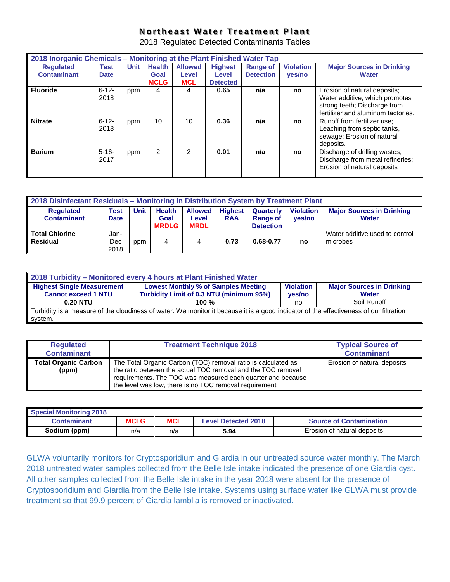# **Northeast Water Treatment Plant**

2018 Regulated Detected Contaminants Tables

| 2018 Inorganic Chemicals - Monitoring at the Plant Finished Water Tap |             |             |               |                |                 |                  |                  |                                    |
|-----------------------------------------------------------------------|-------------|-------------|---------------|----------------|-----------------|------------------|------------------|------------------------------------|
| <b>Requlated</b>                                                      | Test        | <b>Unit</b> | <b>Health</b> | <b>Allowed</b> | <b>Highest</b>  | <b>Range of</b>  | <b>Violation</b> | <b>Major Sources in Drinking</b>   |
| <b>Contaminant</b>                                                    | <b>Date</b> |             | Goal          | Level          | Level           | <b>Detection</b> | yes/no           | <b>Water</b>                       |
|                                                                       |             |             | <b>MCLG</b>   | <b>MCL</b>     | <b>Detected</b> |                  |                  |                                    |
| <b>Fluoride</b>                                                       | $6 - 12 -$  | ppm         | 4             | 4              | 0.65            | n/a              | no               | Erosion of natural deposits;       |
|                                                                       | 2018        |             |               |                |                 |                  |                  | Water additive, which promotes     |
|                                                                       |             |             |               |                |                 |                  |                  | strong teeth; Discharge from       |
|                                                                       |             |             |               |                |                 |                  |                  | fertilizer and aluminum factories. |
| <b>Nitrate</b>                                                        | $6 - 12 -$  | ppm         | 10            | 10             | 0.36            | n/a              | no               | Runoff from fertilizer use:        |
|                                                                       | 2018        |             |               |                |                 |                  |                  | Leaching from septic tanks,        |
|                                                                       |             |             |               |                |                 |                  |                  | sewage; Erosion of natural         |
|                                                                       |             |             |               |                |                 |                  |                  | deposits.                          |
| <b>Barium</b>                                                         | $5 - 16 -$  | ppm         | $\mathcal{P}$ | 2              | 0.01            | n/a              | no               | Discharge of drilling wastes;      |
|                                                                       | 2017        |             |               |                |                 |                  |                  | Discharge from metal refineries;   |
|                                                                       |             |             |               |                |                 |                  |                  | Erosion of natural deposits        |
|                                                                       |             |             |               |                |                 |                  |                  |                                    |

| 2018 Disinfectant Residuals - Monitoring in Distribution System by Treatment Plant |                     |             |                       |                         |                              |                              |                            |                                                  |
|------------------------------------------------------------------------------------|---------------------|-------------|-----------------------|-------------------------|------------------------------|------------------------------|----------------------------|--------------------------------------------------|
| <b>Requlated</b><br><b>Contaminant</b>                                             | Test<br><b>Date</b> | <b>Unit</b> | <b>Health</b><br>Goal | <b>Allowed</b><br>Level | <b>Highest</b><br><b>RAA</b> | Quarterly<br><b>Range of</b> | <b>Violation</b><br>ves/no | <b>Major Sources in Drinking</b><br><b>Water</b> |
|                                                                                    |                     |             | <b>MRDLG</b>          | <b>MRDL</b>             |                              | <b>Detection</b>             |                            |                                                  |
| <b>Total Chlorine</b><br><b>Residual</b>                                           | Jan-<br>Dec<br>2018 | ppm         | 4                     | 4                       | 0.73                         | 0.68-0.77                    | no                         | Water additive used to control<br>microbes       |

| 2018 Turbidity - Monitored every 4 hours at Plant Finished Water                                                                       |                                                                                                    |        |              |  |  |  |  |  |
|----------------------------------------------------------------------------------------------------------------------------------------|----------------------------------------------------------------------------------------------------|--------|--------------|--|--|--|--|--|
| <b>Highest Single Measurement</b>                                                                                                      | <b>Lowest Monthly % of Samples Meeting</b><br><b>Violation</b><br><b>Major Sources in Drinking</b> |        |              |  |  |  |  |  |
| <b>Cannot exceed 1 NTU</b>                                                                                                             | Turbidity Limit of 0.3 NTU (minimum 95%)                                                           | ves/no | <b>Water</b> |  |  |  |  |  |
| <b>0.20 NTU</b>                                                                                                                        | 100 $%$                                                                                            | no     | Soil Runoff  |  |  |  |  |  |
| Turbidity is a measure of the cloudiness of water. We monitor it because it is a good indicator of the effectiveness of our filtration |                                                                                                    |        |              |  |  |  |  |  |
| system.                                                                                                                                |                                                                                                    |        |              |  |  |  |  |  |

| <b>Regulated</b><br><b>Contaminant</b> | <b>Treatment Technique 2018</b>                                                                                                                                                                                                                        | <b>Typical Source of</b><br><b>Contaminant</b> |
|----------------------------------------|--------------------------------------------------------------------------------------------------------------------------------------------------------------------------------------------------------------------------------------------------------|------------------------------------------------|
| <b>Total Organic Carbon</b><br>(ppm)   | The Total Organic Carbon (TOC) removal ratio is calculated as<br>the ratio between the actual TOC removal and the TOC removal<br>requirements. The TOC was measured each quarter and because<br>the level was low, there is no TOC removal requirement | Erosion of natural deposits                    |

| <b>Special Monitoring 2018</b> |             |            |                            |                                |
|--------------------------------|-------------|------------|----------------------------|--------------------------------|
| Contaminant                    | <b>MCLG</b> | <b>MCL</b> | <b>Level Detected 2018</b> | <b>Source of Contamination</b> |
| Sodium (ppm)                   | n/a         | n/a        | 5.94                       | Erosion of natural deposits    |

GLWA voluntarily monitors for Cryptosporidium and Giardia in our untreated source water monthly. The March 2018 untreated water samples collected from the Belle Isle intake indicated the presence of one Giardia cyst. All other samples collected from the Belle Isle intake in the year 2018 were absent for the presence of Cryptosporidium and Giardia from the Belle Isle intake. Systems using surface water like GLWA must provide treatment so that 99.9 percent of Giardia lamblia is removed or inactivated.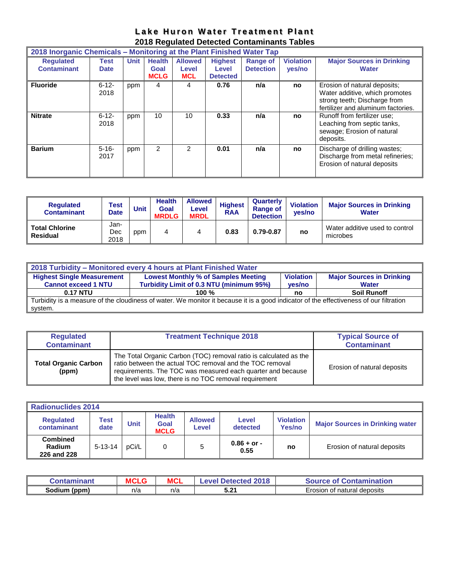|  | Lake Huron Water Treatment Plant            |  |
|--|---------------------------------------------|--|
|  | 2018 Regulated Detected Contaminants Tables |  |

| 2018 Inorganic Chemicals – Monitoring at the Plant Finished Water Tap |                            |             |                                      |                                       |                                            |                                     |                            |                                                                                                                                      |
|-----------------------------------------------------------------------|----------------------------|-------------|--------------------------------------|---------------------------------------|--------------------------------------------|-------------------------------------|----------------------------|--------------------------------------------------------------------------------------------------------------------------------------|
| <b>Requlated</b><br><b>Contaminant</b>                                | <b>Test</b><br><b>Date</b> | <b>Unit</b> | <b>Health</b><br>Goal<br><b>MCLG</b> | <b>Allowed</b><br>Level<br><b>MCL</b> | <b>Highest</b><br>Level<br><b>Detected</b> | <b>Range of</b><br><b>Detection</b> | <b>Violation</b><br>yes/no | <b>Major Sources in Drinking</b><br><b>Water</b>                                                                                     |
| <b>Fluoride</b>                                                       | $6 - 12 -$<br>2018         | ppm         | 4                                    | 4                                     | 0.76                                       | n/a                                 | no                         | Erosion of natural deposits;<br>Water additive, which promotes<br>strong teeth; Discharge from<br>fertilizer and aluminum factories. |
| <b>Nitrate</b>                                                        | $6 - 12 -$<br>2018         | ppm         | 10                                   | 10                                    | 0.33                                       | n/a                                 | no                         | Runoff from fertilizer use:<br>Leaching from septic tanks,<br>sewage; Erosion of natural<br>deposits.                                |
| <b>Barium</b>                                                         | $5 - 16 -$<br>2017         | ppm         | 2                                    | $\mathcal{P}$                         | 0.01                                       | n/a                                 | no                         | Discharge of drilling wastes;<br>Discharge from metal refineries;<br>Erosion of natural deposits                                     |

| <b>Requlated</b><br><b>Contaminant</b>   | <b>Test</b><br><b>Date</b> | <b>Unit</b> | <b>Health</b><br>Goal<br><b>MRDLG</b> | <b>Allowed</b><br>Level<br><b>MRDL</b> | <b>Highest</b><br><b>RAA</b> | Quarterly<br><b>Range of</b><br><b>Detection</b> | <b>Violation</b><br>ves/no | <b>Major Sources in Drinking</b><br><b>Water</b> |
|------------------------------------------|----------------------------|-------------|---------------------------------------|----------------------------------------|------------------------------|--------------------------------------------------|----------------------------|--------------------------------------------------|
| <b>Total Chlorine</b><br><b>Residual</b> | Jan-<br>Dec<br>2018        | ppm         | 4                                     | 4                                      | 0.83                         | 0.79-0.87                                        | no                         | Water additive used to control<br>microbes       |

| 2018 Turbidity - Monitored every 4 hours at Plant Finished Water                                                                                                                                                                            |         |    |                    |  |  |  |  |  |  |
|---------------------------------------------------------------------------------------------------------------------------------------------------------------------------------------------------------------------------------------------|---------|----|--------------------|--|--|--|--|--|--|
| <b>Highest Single Measurement</b><br><b>Lowest Monthly % of Samples Meeting</b><br><b>Major Sources in Drinking</b><br><b>Violation</b><br>Turbidity Limit of 0.3 NTU (minimum 95%)<br><b>Cannot exceed 1 NTU</b><br>ves/no<br><b>Water</b> |         |    |                    |  |  |  |  |  |  |
| <b>0.17 NTU</b>                                                                                                                                                                                                                             | 100 $%$ | no | <b>Soil Runoff</b> |  |  |  |  |  |  |
| Turbidity is a measure of the cloudiness of water. We monitor it because it is a good indicator of the effectiveness of our filtration<br>system.                                                                                           |         |    |                    |  |  |  |  |  |  |

| <b>Regulated</b><br><b>Contaminant</b> | <b>Treatment Technique 2018</b>                                                                                                                                                                                                                        | <b>Typical Source of</b><br><b>Contaminant</b> |
|----------------------------------------|--------------------------------------------------------------------------------------------------------------------------------------------------------------------------------------------------------------------------------------------------------|------------------------------------------------|
| <b>Total Organic Carbon</b><br>(ppm)   | The Total Organic Carbon (TOC) removal ratio is calculated as the<br>ratio between the actual TOC removal and the TOC removal<br>requirements. The TOC was measured each quarter and because<br>the level was low, there is no TOC removal requirement | Erosion of natural deposits                    |

| <b>Radionuclides 2014</b>                |               |             |                                             |                         |                       |                            |                                        |  |  |  |
|------------------------------------------|---------------|-------------|---------------------------------------------|-------------------------|-----------------------|----------------------------|----------------------------------------|--|--|--|
| <b>Requlated</b><br>contaminant          | Test<br>date  | <b>Unit</b> | <b>Health</b><br><b>Goal</b><br><b>MCLG</b> | <b>Allowed</b><br>Level | Level<br>detected     | <b>Violation</b><br>Yes/no | <b>Major Sources in Drinking water</b> |  |  |  |
| <b>Combined</b><br>Radium<br>226 and 228 | $5 - 13 - 14$ | pCi/L       |                                             |                         | $0.86 + or -$<br>0.55 | no                         | Erosion of natural deposits            |  |  |  |

| Contaminant     | <b>MCLG</b> | MCL | 2018<br>Level Detected | <b>Source of Contamination</b> |
|-----------------|-------------|-----|------------------------|--------------------------------|
| Sodium<br>(ppm) | n/a         | n/a | <b>こつイ</b><br>ว.∠      | Erosion of natural deposits    |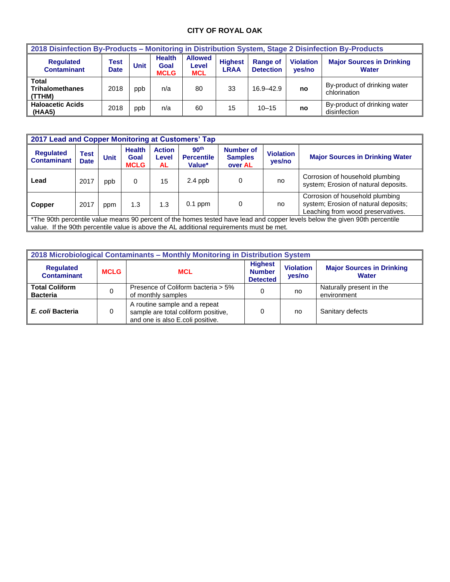# **CITY OF ROYAL OAK**

| 2018 Disinfection By-Products - Monitoring in Distribution System, Stage 2 Disinfection By-Products |                     |             |                                      |                                       |                               |                                     |                            |                                                  |  |  |
|-----------------------------------------------------------------------------------------------------|---------------------|-------------|--------------------------------------|---------------------------------------|-------------------------------|-------------------------------------|----------------------------|--------------------------------------------------|--|--|
| <b>Requlated</b><br><b>Contaminant</b>                                                              | Test<br><b>Date</b> | <b>Unit</b> | <b>Health</b><br>Goal<br><b>MCLG</b> | <b>Allowed</b><br>Level<br><b>MCL</b> | <b>Highest</b><br><b>LRAA</b> | <b>Range of</b><br><b>Detection</b> | <b>Violation</b><br>yes/no | <b>Major Sources in Drinking</b><br><b>Water</b> |  |  |
| Total<br><b>Trihalomethanes</b><br>(TTHM)                                                           | 2018                | ppb         | n/a                                  | 80                                    | 33                            | $16.9 - 42.9$                       | no                         | By-product of drinking water<br>chlorination     |  |  |
| <b>Haloacetic Acids</b><br>(HAA5)                                                                   | 2018                | ppb         | n/a                                  | 60                                    | 15                            | $10 - 15$                           | no                         | By-product of drinking water<br>disinfection     |  |  |

| 2017 Lead and Copper Monitoring at Customers' Tap                                                                                                                                                                       |                     |      |                                      |                              |                                                 |                                               |                            |                                                                                                              |  |  |
|-------------------------------------------------------------------------------------------------------------------------------------------------------------------------------------------------------------------------|---------------------|------|--------------------------------------|------------------------------|-------------------------------------------------|-----------------------------------------------|----------------------------|--------------------------------------------------------------------------------------------------------------|--|--|
| <b>Requlated</b><br><b>Contaminant</b>                                                                                                                                                                                  | Test<br><b>Date</b> | Unit | <b>Health</b><br>Goal<br><b>MCLG</b> | <b>Action</b><br>Level<br>AL | 90 <sup>th</sup><br><b>Percentile</b><br>Value* | <b>Number of</b><br><b>Samples</b><br>over AL | <b>Violation</b><br>yes/no | <b>Major Sources in Drinking Water</b>                                                                       |  |  |
| Lead                                                                                                                                                                                                                    | 2017                | ppb  | 0                                    | 15                           | $2.4$ ppb                                       |                                               | no                         | Corrosion of household plumbing<br>system; Erosion of natural deposits.                                      |  |  |
| Copper                                                                                                                                                                                                                  | 2017                | ppm  | 1.3                                  | 1.3                          | $0.1$ ppm                                       | 0                                             | no                         | Corrosion of household plumbing<br>system; Erosion of natural deposits;<br>Leaching from wood preservatives. |  |  |
| *The 90th percentile value means 90 percent of the homes tested have lead and copper levels below the given 90th percentile<br>value. If the 90th percentile value is above the AL additional requirements must be met. |                     |      |                                      |                              |                                                 |                                               |                            |                                                                                                              |  |  |

| 2018 Microbiological Contaminants - Monthly Monitoring in Distribution System |             |                                                                                                          |                                                    |                            |                                                  |  |  |  |  |  |
|-------------------------------------------------------------------------------|-------------|----------------------------------------------------------------------------------------------------------|----------------------------------------------------|----------------------------|--------------------------------------------------|--|--|--|--|--|
| <b>Regulated</b><br><b>Contaminant</b>                                        | <b>MCLG</b> | <b>MCL</b>                                                                                               | <b>Highest</b><br><b>Number</b><br><b>Detected</b> | <b>Violation</b><br>yes/no | <b>Major Sources in Drinking</b><br><b>Water</b> |  |  |  |  |  |
| <b>Total Coliform</b><br><b>Bacteria</b>                                      |             | Presence of Coliform bacteria > 5%<br>of monthly samples                                                 |                                                    | no                         | Naturally present in the<br>environment          |  |  |  |  |  |
| E. coli Bacteria                                                              |             | A routine sample and a repeat<br>sample are total coliform positive,<br>and one is also E.coli positive. |                                                    | no                         | Sanitary defects                                 |  |  |  |  |  |